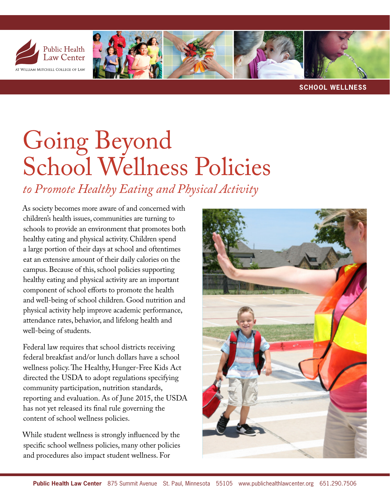

**SCHOOL WELLNESS**

## Going Beyond School Wellness Policies

*to Promote Healthy Eating and Physical Activity*

As society becomes more aware of and concerned with children's health issues, communities are turning to schools to provide an environment that promotes both healthy eating and physical activity. Children spend a large portion of their days at school and oftentimes eat an extensive amount of their daily calories on the campus. Because of this, school policies supporting healthy eating and physical activity are an important component of school efforts to promote the health and well-being of school children. Good nutrition and physical activity help improve academic performance, attendance rates, behavior, and lifelong health and well-being of students.

Federal law requires that school districts receiving federal breakfast and/or lunch dollars have a school wellness policy. The Healthy, Hunger-Free Kids Act directed the USDA to adopt regulations specifying community participation, nutrition standards, reporting and evaluation. As of June 2015, the USDA has not yet released its final rule governing the content of school wellness policies.

While student wellness is strongly influenced by the specific school wellness policies, many other policies and procedures also impact student wellness. For

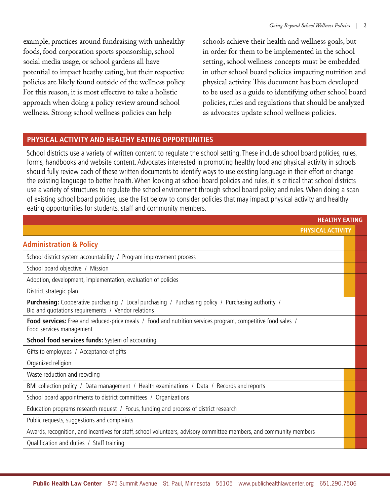example, practices around fundraising with unhealthy foods, food corporation sports sponsorship, school social media usage, or school gardens all have potential to impact heathy eating, but their respective policies are likely found outside of the wellness policy. For this reason, it is most effective to take a holistic approach when doing a policy review around school wellness. Strong school wellness policies can help

schools achieve their health and wellness goals, but in order for them to be implemented in the school setting, school wellness concepts must be embedded in other school board policies impacting nutrition and physical activity. This document has been developed to be used as a guide to identifying other school board policies, rules and regulations that should be analyzed as advocates update school wellness policies.

## **PHYSICAL ACTIVITY AND HEALTHY EATING OPPORTUNITIES**

School districts use a variety of written content to regulate the school setting. These include school board policies, rules, forms, handbooks and website content. Advocates interested in promoting healthy food and physical activity in schools should fully review each of these written documents to identify ways to use existing language in their effort or change the existing language to better health. When looking at school board policies and rules, it is critical that school districts use a variety of structures to regulate the school environment through school board policy and rules. When doing a scan of existing school board policies, use the list below to consider policies that may impact physical activity and healthy eating opportunities for students, staff and community members.

| <b>HEALTHY EATING</b>                                                                                                                                           |  |  |
|-----------------------------------------------------------------------------------------------------------------------------------------------------------------|--|--|
| <b>PHYSICAL ACTIVITY</b>                                                                                                                                        |  |  |
| <b>Administration &amp; Policy</b>                                                                                                                              |  |  |
| School district system accountability / Program improvement process                                                                                             |  |  |
| School board objective / Mission                                                                                                                                |  |  |
| Adoption, development, implementation, evaluation of policies                                                                                                   |  |  |
| District strategic plan                                                                                                                                         |  |  |
| <b>Purchasing:</b> Cooperative purchasing / Local purchasing / Purchasing policy / Purchasing authority /<br>Bid and quotations requirements / Vendor relations |  |  |
| Food services: Free and reduced-price meals / Food and nutrition services program, competitive food sales /<br>Food services management                         |  |  |
| <b>School food services funds:</b> System of accounting                                                                                                         |  |  |
| Gifts to employees / Acceptance of gifts                                                                                                                        |  |  |
| Organized religion                                                                                                                                              |  |  |
| Waste reduction and recycling                                                                                                                                   |  |  |
| BMI collection policy / Data management / Health examinations / Data / Records and reports                                                                      |  |  |
| School board appointments to district committees / Organizations                                                                                                |  |  |
| Education programs research request / Focus, funding and process of district research                                                                           |  |  |
| Public requests, suggestions and complaints                                                                                                                     |  |  |
| Awards, recognition, and incentives for staff, school volunteers, advisory committee members, and community members                                             |  |  |
| Qualification and duties / Staff training                                                                                                                       |  |  |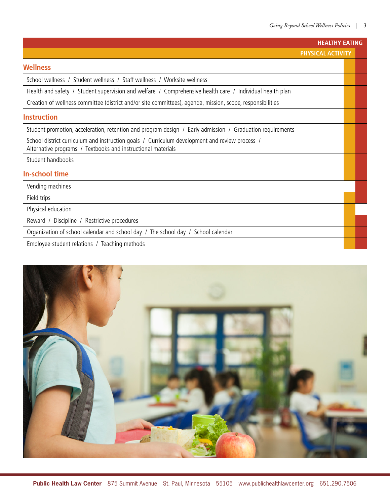|                                                                                                                                                                | <b>HEALTHY EATING</b> |  |  |
|----------------------------------------------------------------------------------------------------------------------------------------------------------------|-----------------------|--|--|
|                                                                                                                                                                | PHYSICAL ACTIVITY     |  |  |
| <b>Wellness</b>                                                                                                                                                |                       |  |  |
| School wellness / Student wellness / Staff wellness / Worksite wellness                                                                                        |                       |  |  |
| Health and safety / Student supervision and welfare / Comprehensive health care / Individual health plan                                                       |                       |  |  |
| Creation of wellness committee (district and/or site committees), agenda, mission, scope, responsibilities                                                     |                       |  |  |
| <b>Instruction</b>                                                                                                                                             |                       |  |  |
| Student promotion, acceleration, retention and program design / Early admission / Graduation requirements                                                      |                       |  |  |
| School district curriculum and instruction goals / Curriculum development and review process /<br>Alternative programs / Textbooks and instructional materials |                       |  |  |
| Student handbooks                                                                                                                                              |                       |  |  |
| <b>In-school time</b>                                                                                                                                          |                       |  |  |
| Vending machines                                                                                                                                               |                       |  |  |
| Field trips                                                                                                                                                    |                       |  |  |
| Physical education                                                                                                                                             |                       |  |  |
| Reward / Discipline / Restrictive procedures                                                                                                                   |                       |  |  |
| Organization of school calendar and school day / The school day / School calendar                                                                              |                       |  |  |
| Employee-student relations / Teaching methods                                                                                                                  |                       |  |  |

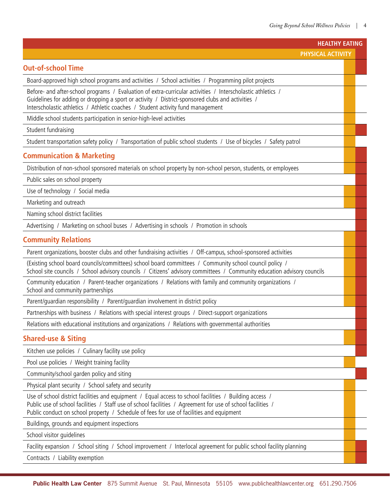| <b>HEALTHY EATING</b>                                                                                                                                                                                                                                                                                              |  |  |  |
|--------------------------------------------------------------------------------------------------------------------------------------------------------------------------------------------------------------------------------------------------------------------------------------------------------------------|--|--|--|
| <b>PHYSICAL ACTIVITY</b>                                                                                                                                                                                                                                                                                           |  |  |  |
| <b>Out-of-school Time</b>                                                                                                                                                                                                                                                                                          |  |  |  |
| Board-approved high school programs and activities / School activities / Programming pilot projects                                                                                                                                                                                                                |  |  |  |
| Before- and after-school programs / Evaluation of extra-curricular activities / Interscholastic athletics /<br>Guidelines for adding or dropping a sport or activity / District-sponsored clubs and activities /<br>Interscholastic athletics / Athletic coaches / Student activity fund management                |  |  |  |
| Middle school students participation in senior-high-level activities                                                                                                                                                                                                                                               |  |  |  |
| Student fundraising                                                                                                                                                                                                                                                                                                |  |  |  |
| Student transportation safety policy / Transportation of public school students / Use of bicycles / Safety patrol                                                                                                                                                                                                  |  |  |  |
| <b>Communication &amp; Marketing</b>                                                                                                                                                                                                                                                                               |  |  |  |
| Distribution of non-school sponsored materials on school property by non-school person, students, or employees                                                                                                                                                                                                     |  |  |  |
| Public sales on school property                                                                                                                                                                                                                                                                                    |  |  |  |
| Use of technology / Social media                                                                                                                                                                                                                                                                                   |  |  |  |
| Marketing and outreach                                                                                                                                                                                                                                                                                             |  |  |  |
| Naming school district facilities                                                                                                                                                                                                                                                                                  |  |  |  |
| Advertising / Marketing on school buses / Advertising in schools / Promotion in schools                                                                                                                                                                                                                            |  |  |  |
| <b>Community Relations</b>                                                                                                                                                                                                                                                                                         |  |  |  |
| Parent organizations, booster clubs and other fundraising activities / Off-campus, school-sponsored activities                                                                                                                                                                                                     |  |  |  |
| (Existing school board councils/committees) school board committees / Community school council policy /<br>School site councils / School advisory councils / Citizens' advisory committees / Community education advisory councils                                                                                 |  |  |  |
| Community education / Parent-teacher organizations / Relations with family and community organizations /<br>School and community partnerships                                                                                                                                                                      |  |  |  |
| Parent/guardian responsibility / Parent/guardian involvement in district policy                                                                                                                                                                                                                                    |  |  |  |
| Partnerships with business / Relations with special interest groups / Direct-support organizations                                                                                                                                                                                                                 |  |  |  |
| Relations with educational institutions and organizations / Relations with governmental authorities                                                                                                                                                                                                                |  |  |  |
| <b>Shared-use &amp; Siting</b>                                                                                                                                                                                                                                                                                     |  |  |  |
| Kitchen use policies / Culinary facility use policy                                                                                                                                                                                                                                                                |  |  |  |
| Pool use policies / Weight training facility                                                                                                                                                                                                                                                                       |  |  |  |
| Community/school garden policy and siting                                                                                                                                                                                                                                                                          |  |  |  |
| Physical plant security / School safety and security                                                                                                                                                                                                                                                               |  |  |  |
| Use of school district facilities and equipment / Equal access to school facilities / Building access /<br>Public use of school facilities / Staff use of school facilities / Agreement for use of school facilities /<br>Public conduct on school property / Schedule of fees for use of facilities and equipment |  |  |  |
| Buildings, grounds and equipment inspections                                                                                                                                                                                                                                                                       |  |  |  |
| School visitor guidelines                                                                                                                                                                                                                                                                                          |  |  |  |
| Facility expansion / School siting / School improvement / Interlocal agreement for public school facility planning                                                                                                                                                                                                 |  |  |  |
| Contracts / Liability exemption                                                                                                                                                                                                                                                                                    |  |  |  |